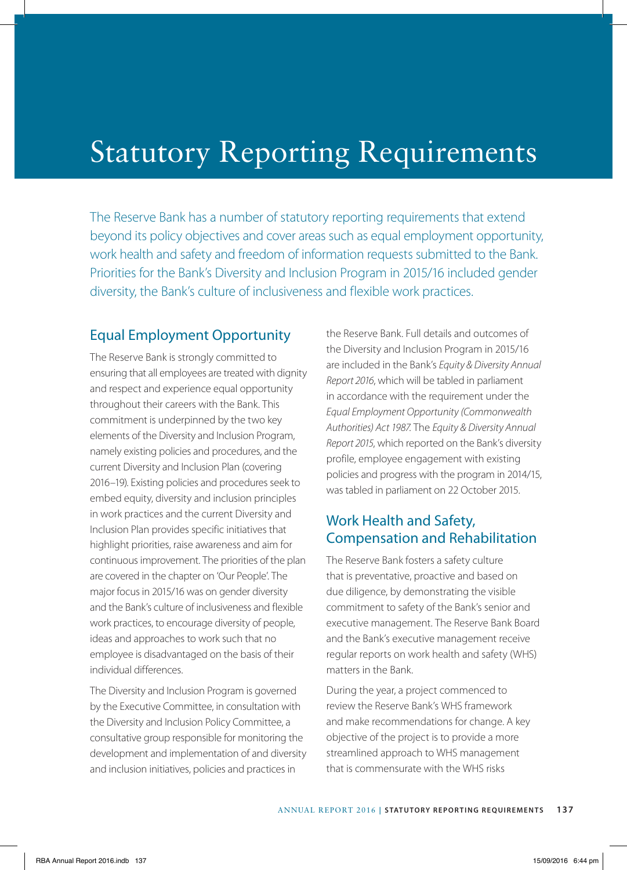# Statutory Reporting Requirements

The Reserve Bank has a number of statutory reporting requirements that extend beyond its policy objectives and cover areas such as equal employment opportunity, work health and safety and freedom of information requests submitted to the Bank. Priorities for the Bank's Diversity and Inclusion Program in 2015/16 included gender diversity, the Bank's culture of inclusiveness and flexible work practices.

### Equal Employment Opportunity

The Reserve Bank is strongly committed to ensuring that all employees are treated with dignity and respect and experience equal opportunity throughout their careers with the Bank. This commitment is underpinned by the two key elements of the Diversity and Inclusion Program, namely existing policies and procedures, and the current Diversity and Inclusion Plan (covering 2016–19). Existing policies and procedures seek to embed equity, diversity and inclusion principles in work practices and the current Diversity and Inclusion Plan provides specific initiatives that highlight priorities, raise awareness and aim for continuous improvement. The priorities of the plan are covered in the chapter on 'Our People'. The major focus in 2015/16 was on gender diversity and the Bank's culture of inclusiveness and flexible work practices, to encourage diversity of people, ideas and approaches to work such that no employee is disadvantaged on the basis of their individual differences.

The Diversity and Inclusion Program is governed by the Executive Committee, in consultation with the Diversity and Inclusion Policy Committee, a consultative group responsible for monitoring the development and implementation of and diversity and inclusion initiatives, policies and practices in

the Reserve Bank. Full details and outcomes of the Diversity and Inclusion Program in 2015/16 are included in the Bank's *Equity & Diversity Annual Report 2016*, which will be tabled in parliament in accordance with the requirement under the *Equal Employment Opportunity (Commonwealth Authorities) Act 1987*. The *Equity & Diversity Annual Report 2015*, which reported on the Bank's diversity profile, employee engagement with existing policies and progress with the program in 2014/15, was tabled in parliament on 22 October 2015.

## Work Health and Safety, Compensation and Rehabilitation

The Reserve Bank fosters a safety culture that is preventative, proactive and based on due diligence, by demonstrating the visible commitment to safety of the Bank's senior and executive management. The Reserve Bank Board and the Bank's executive management receive regular reports on work health and safety (WHS) matters in the Bank.

During the year, a project commenced to review the Reserve Bank's WHS framework and make recommendations for change. A key objective of the project is to provide a more streamlined approach to WHS management that is commensurate with the WHS risks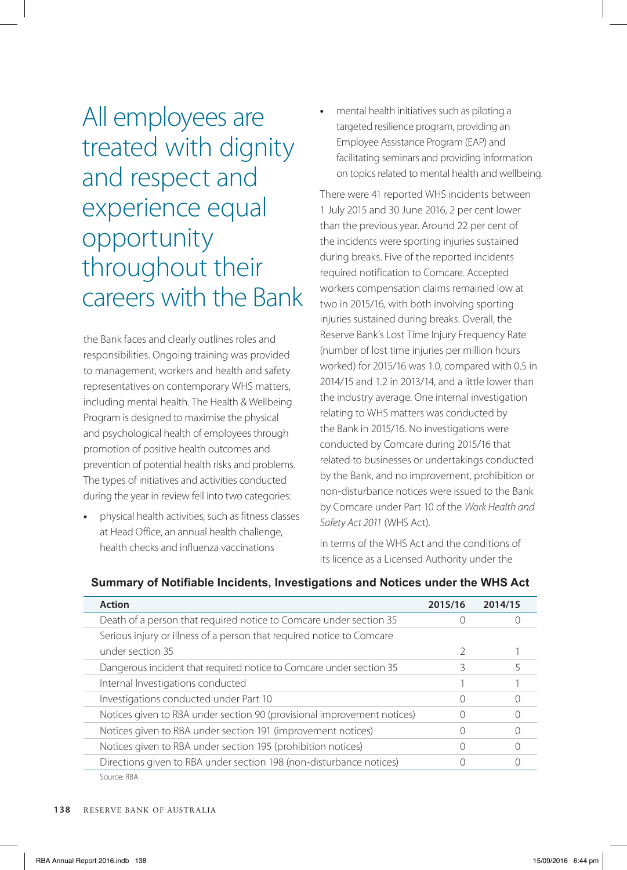All employees are treated with dignity and respect and experience equal opportunity throughout their careers with the Bank

the Bank faces and clearly outlines roles and responsibilities. Ongoing training was provided to management, workers and health and safety representatives on contemporary WHS matters, including mental health. The Health & Wellbeing Program is designed to maximise the physical and psychological health of employees through promotion of positive health outcomes and prevention of potential health risks and problems. The types of initiatives and activities conducted during the year in review fell into two categories:

**•** physical health activities, such as fitness classes at Head Office, an annual health challenge, health checks and influenza vaccinations

**•** mental health initiatives such as piloting a targeted resilience program, providing an Employee Assistance Program (EAP) and facilitating seminars and providing information on topics related to mental health and wellbeing.

There were 41 reported WHS incidents between 1 July 2015 and 30 June 2016, 2 per cent lower than the previous year. Around 22 per cent of the incidents were sporting injuries sustained during breaks. Five of the reported incidents required notification to Comcare. Accepted workers compensation claims remained low at two in 2015/16, with both involving sporting injuries sustained during breaks. Overall, the Reserve Bank's Lost Time Injury Frequency Rate (number of lost time injuries per million hours worked) for 2015/16 was 1.0, compared with 0.5 in 2014/15 and 1.2 in 2013/14, and a little lower than the industry average. One internal investigation relating to WHS matters was conducted by the Bank in 2015/16. No investigations were conducted by Comcare during 2015/16 that related to businesses or undertakings conducted by the Bank, and no improvement, prohibition or non-disturbance notices were issued to the Bank by Comcare under Part 10 of the *Work Health and Safety Act 2011* (WHS Act).

In terms of the WHS Act and the conditions of its licence as a Licensed Authority under the

| <b>Action</b>                                                           | 2015/16          | 2014/15 |
|-------------------------------------------------------------------------|------------------|---------|
| Death of a person that required notice to Comcare under section 35      |                  |         |
| Serious injury or illness of a person that required notice to Comcare   |                  |         |
| under section 35                                                        |                  |         |
| Dangerous incident that required notice to Comcare under section 35     |                  |         |
| Internal Investigations conducted                                       |                  |         |
| Investigations conducted under Part 10                                  | $\left( \right)$ |         |
| Notices given to RBA under section 90 (provisional improvement notices) |                  |         |
| Notices given to RBA under section 191 (improvement notices)            |                  |         |
| Notices given to RBA under section 195 (prohibition notices)            |                  |         |
| Directions given to RBA under section 198 (non-disturbance notices)     |                  |         |
| Source: RBA                                                             |                  |         |

#### **Summary of Notifiable Incidents, Investigations and Notices under the WHS Act**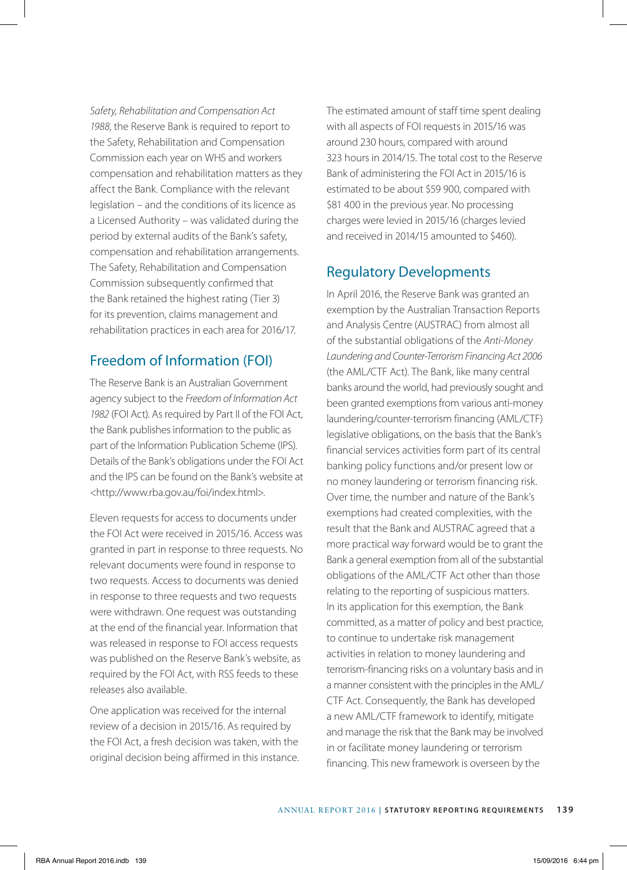*Safety, Rehabilitation and Compensation Act 1988*, the Reserve Bank is required to report to the Safety, Rehabilitation and Compensation Commission each year on WHS and workers compensation and rehabilitation matters as they affect the Bank. Compliance with the relevant legislation – and the conditions of its licence as a Licensed Authority – was validated during the period by external audits of the Bank's safety, compensation and rehabilitation arrangements. The Safety, Rehabilitation and Compensation Commission subsequently confirmed that the Bank retained the highest rating (Tier 3) for its prevention, claims management and rehabilitation practices in each area for 2016/17.

### Freedom of Information (FOI)

The Reserve Bank is an Australian Government agency subject to the *Freedom of Information Act 1982* (FOI Act). As required by Part II of the FOI Act, the Bank publishes information to the public as part of the Information Publication Scheme (IPS). Details of the Bank's obligations under the FOI Act and the IPS can be found on the Bank's website at <http://www.rba.gov.au/foi/index.html>.

Eleven requests for access to documents under the FOI Act were received in 2015/16. Access was granted in part in response to three requests. No relevant documents were found in response to two requests. Access to documents was denied in response to three requests and two requests were withdrawn. One request was outstanding at the end of the financial year. Information that was released in response to FOI access requests was published on the Reserve Bank's website, as required by the FOI Act, with RSS feeds to these releases also available.

One application was received for the internal review of a decision in 2015/16. As required by the FOI Act, a fresh decision was taken, with the original decision being affirmed in this instance. The estimated amount of staff time spent dealing with all aspects of FOI requests in 2015/16 was around 230 hours, compared with around 323 hours in 2014/15. The total cost to the Reserve Bank of administering the FOI Act in 2015/16 is estimated to be about \$59 900, compared with \$81 400 in the previous year. No processing charges were levied in 2015/16 (charges levied and received in 2014/15 amounted to \$460).

### Regulatory Developments

In April 2016, the Reserve Bank was granted an exemption by the Australian Transaction Reports and Analysis Centre (AUSTRAC) from almost all of the substantial obligations of the *Anti-Money Laundering and Counter-Terrorism Financing Act 2006* (the AML/CTF Act). The Bank, like many central banks around the world, had previously sought and been granted exemptions from various anti-money laundering/counter-terrorism financing (AML/CTF) legislative obligations, on the basis that the Bank's financial services activities form part of its central banking policy functions and/or present low or no money laundering or terrorism financing risk. Over time, the number and nature of the Bank's exemptions had created complexities, with the result that the Bank and AUSTRAC agreed that a more practical way forward would be to grant the Bank a general exemption from all of the substantial obligations of the AML/CTF Act other than those relating to the reporting of suspicious matters. In its application for this exemption, the Bank committed, as a matter of policy and best practice, to continue to undertake risk management activities in relation to money laundering and terrorism-financing risks on a voluntary basis and in a manner consistent with the principles in the AML/ CTF Act. Consequently, the Bank has developed a new AML/CTF framework to identify, mitigate and manage the risk that the Bank may be involved in or facilitate money laundering or terrorism financing. This new framework is overseen by the